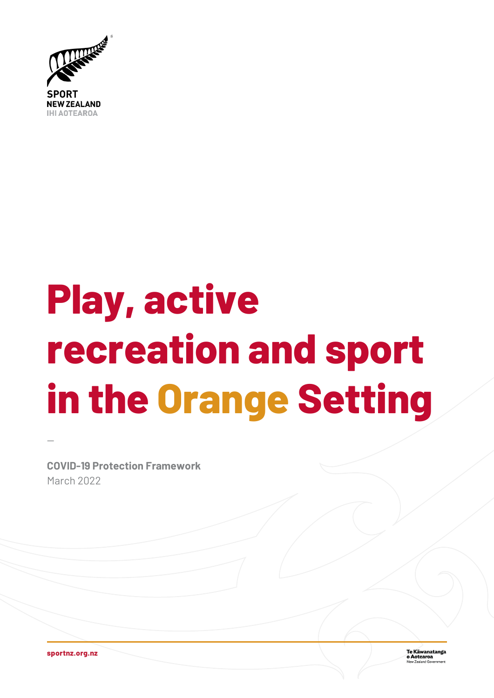

# Play, active recreation and sport in the Orange Setting

**COVID-19 Protection Framework** March 2022

sportnz.org.nz

Te Kāwanatanga<br>o Aotearoa u Zealand Go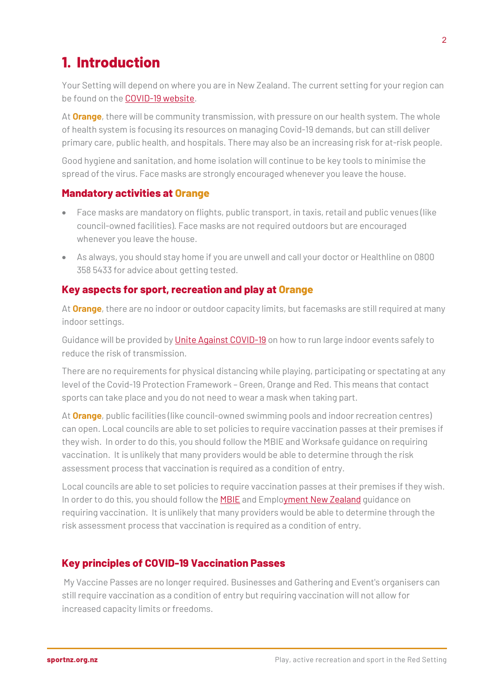## **1. Introduction**

Your Setting will depend on where you are in New Zealand. The current setting for your region can be found on the [COVID-19 website.](https://covid19.govt.nz/traffic-lights/traffic-light-map/)

At **Orange**, there will be community transmission, with pressure on our health system. The whole of health system is focusing its resources on managing Covid-19 demands, but can still deliver primary care, public health, and hospitals. There may also be an increasing risk for at-risk people.

Good hygiene and sanitation, and home isolation will continue to be key tools to minimise the spread of the virus. Face masks are strongly encouraged whenever you leave the house.

#### **Mandatory activities at Orange**

- Face masks are mandatory on flights, public transport, in taxis, retail and public venues (like council-owned facilities). Face masks are not required outdoors but are encouraged whenever you leave the house.
- As always, you should stay home if you are unwell and call your doctor or Healthline on 0800 358 5433 for advice about getting tested.

#### **Key aspects for sport, recreation and play at Orange**

At **Orange**, there are no indoor or outdoor capacity limits, but facemasks are still required at many indoor settings.

Guidance will be provided by [Unite Against COVID-19](https://covid19.govt.nz/traffic-lights/changes-to-the-traffic-light-system/?utm_source=newsletter&utm_medium=email&utm_campaign=COVID-19_Sector_Update-23March2022&sfmc_id=19860867) on how to run large indoor events safely to reduce the risk of transmission.

There are no requirements for physical distancing while playing, participating or spectating at any level of the Covid-19 Protection Framework – Green, Orange and Red. This means that contact sports can take place and you do not need to wear a mask when taking part.

At **Orange**, public facilities (like council-owned swimming pools and indoor recreation centres) can open. Local councils are able to set policies to require vaccination passes at their premises if they wish. In order to do this, you should follow the MBIE and Worksafe guidance on requiring vaccination. It is unlikely that many providers would be able to determine through the risk assessment process that vaccination is required as a condition of entry.

Local councils are able to set policies to require vaccination passes at their premises if they wish. In order to do this, you should follow th[e MBIE](https://www.business.govt.nz/covid-19/requiring-my-vaccine-passes-for-entry/?utm_source=Biz.Govt_Newsletter&utm_medium=email&utm_campaign=March_30_2022&utm_content=https%3A%2F%2Fwww.business.govt.nz%2Fcovid-19%2Frequiring-my-vaccine-passes-for-entry%2F&utm_term=Government_mandates) an[d Employment New Zealand](https://www.employment.govt.nz/leave-and-holidays/other-types-of-leave/coronavirus-workplace/covid-19-vaccination-and-employment/) quidance on requiring vaccination. It is unlikely that many providers would be able to determine through the risk assessment process that vaccination is required as a condition of entry.

#### **Key principles of COVID-19 Vaccination Passes**

My Vaccine Passes are no longer required. Businesses and Gathering and Event's organisers can still require vaccination as a condition of entry but requiring vaccination will not allow for increased capacity limits or freedoms.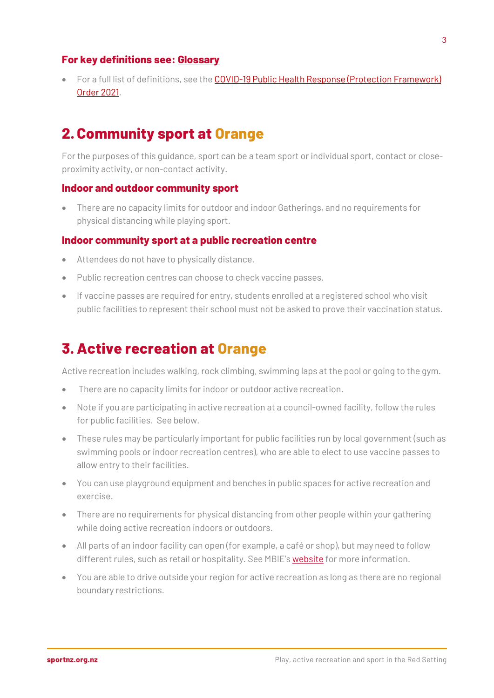#### **For key definitions see: [Glossary](#page-4-0)**

• For a full list of definitions, see the COVID-19 Public Health Response (Protection Framework) [Order 2021.](https://www.legislation.govt.nz/regulation/public/2021/0386/latest/whole.html)

## **2. Community sport at Orange**

For the purposes of this guidance, sport can be a team sport or individual sport, contact or closeproximity activity, or non-contact activity.

#### **Indoor and outdoor community sport**

• There are no capacity limits for outdoor and indoor Gatherings, and no requirements for physical distancing while playing sport.

#### **Indoor community sport at a public recreation centre**

- Attendees do not have to physically distance.
- Public recreation centres can choose to check vaccine passes.
- If vaccine passes are required for entry, students enrolled at a registered school who visit public facilities to represent their school must not be asked to prove their vaccination status.

## **3.Active recreation at Orange**

Active recreation includes walking, rock climbing, swimming laps at the pool or going to the gym.

- There are no capacity limits for indoor or outdoor active recreation.
- Note if you are participating in active recreation at a council-owned facility, follow the rules for public facilities. See below.
- These rules may be particularly important for public facilities run by local government (such as swimming pools or indoor recreation centres), who are able to elect to use vaccine passes to allow entry to their facilities.
- You can use playground equipment and benches in public spaces for active recreation and exercise.
- There are no requirements for physical distancing from other people within your gathering while doing active recreation indoors or outdoors.
- All parts of an indoor facility can open (for example, a café or shop), but may need to follow different rules, such as retail or hospitality. See MBIE'[s website](https://www.business.govt.nz/covid-19/covid-19-protection-framework/public-facilities/) for more information.
- You are able to drive outside your region for active recreation as long as there are no regional boundary restrictions.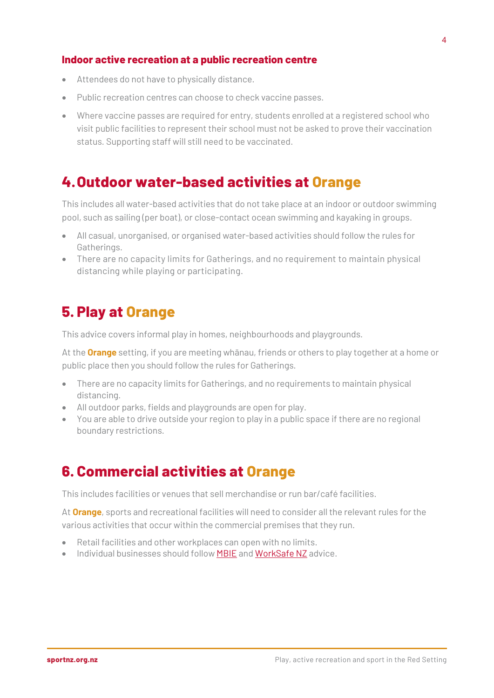#### **Indoor active recreation at a public recreation centre**

- Attendees do not have to physically distance.
- Public recreation centres can choose to check vaccine passes.
- Where vaccine passes are required for entry, students enrolled at a registered school who visit public facilities to represent their school must not be asked to prove their vaccination status. Supporting staff will still need to be vaccinated.

## **4.Outdoor water-based activities at Orange**

This includes all water-based activities that do not take place at an indoor or outdoor swimming pool, such as sailing (per boat), or close-contact ocean swimming and kayaking in groups.

- All casual, unorganised, or organised water-based activities should follow the rules for Gatherings.
- There are no capacity limits for Gatherings, and no requirement to maintain physical distancing while playing or participating.

### **5. Play at Orange**

This advice covers informal play in homes, neighbourhoods and playgrounds.

At the **Orange** setting, if you are meeting whānau, friends or others to play together at a home or public place then you should follow the rules for Gatherings.

- There are no capacity limits for Gatherings, and no requirements to maintain physical distancing.
- All outdoor parks, fields and playgrounds are open for play.
- You are able to drive outside your region to play in a public space if there are no regional boundary restrictions.

## **6. Commercial activities at Orange**

This includes facilities or venues that sell merchandise or run bar/café facilities.

At **Orange**, sports and recreational facilities will need to consider all the relevant rules for the various activities that occur within the commercial premises that they run.

- Retail facilities and other workplaces can open with no limits.
- Individual businesses should follow **MBIE** and **WorkSafe NZ** advice.